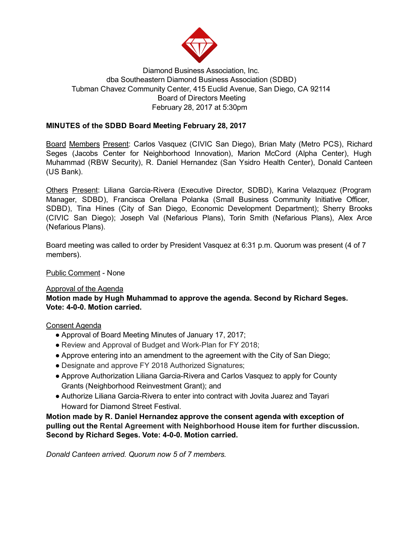

# Diamond Business Association, Inc. dba Southeastern Diamond Business Association (SDBD) Tubman Chavez Community Center, 415 Euclid Avenue, San Diego, CA 92114 Board of Directors Meeting February 28, 2017 at 5:30pm

# MINUTES of the SDBD Board Meeting February 28, 2017

Board Members Present: Carlos Vasquez (CIVIC San Diego), Brian Maty (Metro PCS), Richard Seges (Jacobs Center for Neighborhood Innovation), Marion McCord (Alpha Center), Hugh Muhammad (RBW Security), R. Daniel Hernandez (San Ysidro Health Center), Donald Canteen (US Bank).

Others Present: Liliana Garcia-Rivera (Executive Director, SDBD), Karina Velazquez (Program Manager, SDBD), Francisca Orellana Polanka (Small Business Community Initiative Officer, SDBD), Tina Hines (City of San Diego, Economic Development Department); Sherry Brooks (CIVIC San Diego); Joseph Val (Nefarious Plans), Torin Smith (Nefarious Plans), Alex Arce (Nefarious Plans).

Board meeting was called to order by President Vasquez at 6:31 p.m. Quorum was present (4 of 7 members).

Public Comment - None

### Approval of the Agenda

Motion made by Hugh Muhammad to approve the agenda. Second by Richard Seges. Vote: 4-0-0. Motion carried.

### Consent Agenda

- Approval of Board Meeting Minutes of January 17, 2017;
- Review and Approval of Budget and Work-Plan for FY 2018;
- Approve entering into an amendment to the agreement with the City of San Diego;
- Designate and approve FY 2018 Authorized Signatures;
- Approve Authorization Liliana Garcia-Rivera and Carlos Vasquez to apply for County Grants (Neighborhood Reinvestment Grant); and
- Authorize Liliana Garcia-Rivera to enter into contract with Jovita Juarez and Tayari Howard for Diamond Street Festival.

Motion made by R. Daniel Hernandez approve the consent agenda with exception of pulling out the Rental Agreement with Neighborhood House item for further discussion. Second by Richard Seges. Vote: 4-0-0. Motion carried.

Donald Canteen arrived. Quorum now 5 of 7 members.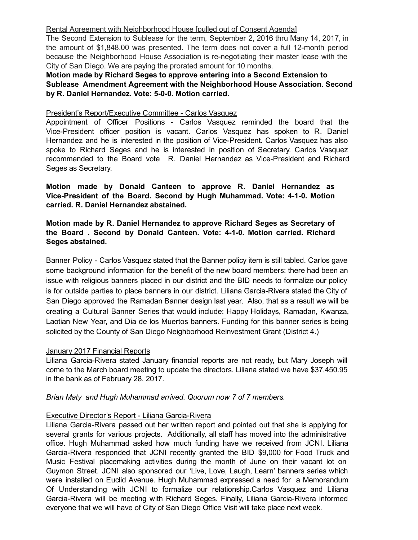#### Rental Agreement with Neighborhood House [pulled out of Consent Agenda]

The Second Extension to Sublease for the term, September 2, 2016 thru Many 14, 2017, in the amount of \$1,848.00 was presented. The term does not cover a full 12-month period because the Neighborhood House Association is re-negotiating their master lease with the City of San Diego. We are paying the prorated amount for 10 months.

## Motion made by Richard Seges to approve entering into a Second Extension to Sublease Amendment Agreement with the Neighborhood House Association. Second by R. Daniel Hernandez. Vote: 5-0-0. Motion carried.

#### President's Report/Executive Committee - Carlos Vasquez

Appointment of Officer Positions Carlos Vasquez reminded the board that the Vice-President officer position is vacant. Carlos Vasquez has spoken to R. Daniel Hernandez and he is interested in the position of Vice-President. Carlos Vasquez has also spoke to Richard Seges and he is interested in position of Secretary. Carlos Vasquez recommended to the Board vote R. Daniel Hernandez as Vice-President and Richard Seges as Secretary.

Motion made by Donald Canteen to approve R. Daniel Hernandez as Vice-President of the Board. Second by Hugh Muhammad. Vote: 4-1-0. Motion carried. R. Daniel Hernandez abstained.

Motion made by R. Daniel Hernandez to approve Richard Seges as Secretary of the Board. Second by Donald Canteen. Vote: 4-1-0. Motion carried. Richard Seges abstained.

Banner Policy Carlos Vasquez stated that the Banner policy item is still tabled. Carlos gave some background information for the benefit of the new board members: there had been an issue with religious banners placed in our district and the BID needs to formalize our policy is for outside parties to place banners in our district. Liliana Garcia-Rivera stated the City of San Diego approved the Ramadan Banner design last year. Also, that as a result we will be creating a Cultural Banner Series that would include: Happy Holidays, Ramadan, Kwanza, Laotian New Year, and Dia de los Muertos banners. Funding for this banner series is being solicited by the County of San Diego Neighborhood Reinvestment Grant (District 4.)

#### January 2017 Financial Reports

Liliana Garcia-Rivera stated January financial reports are not ready, but Mary Joseph will come to the March board meeting to update the directors. Liliana stated we have \$37,450.95 in the bank as of February 28, 2017.

### Brian Maty and Hugh Muhammad arrived. Quorum now 7 of 7 members.

### Executive Director's Report - Liliana Garcia-Rivera

Liliana Garcia-Rivera passed out her written report and pointed out that she is applying for several grants for various projects. Additionally, all staff has moved into the administrative office. Hugh Muhammad asked how much funding have we received from JCNI. Liliana Garcia-Rivera responded that JCNI recently granted the BID \$9,000 for Food Truck and Music Festival placemaking activities during the month of June on their vacant lot on Guymon Street. JCNI also sponsored our 'Live, Love, Laugh, Learn' banners series which were installed on Euclid Avenue. Hugh Muhammad expressed a need for a Memorandum Of Understanding with JCNI to formalize our relationship.Carlos Vasquez and Liliana Garcia-Rivera will be meeting with Richard Seges. Finally, Liliana Garcia-Rivera informed everyone that we will have of City of San Diego Office Visit will take place next week.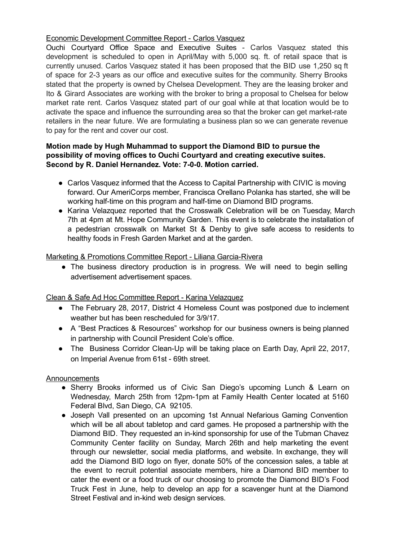## Economic Development Committee Report - Carlos Vasquez

Ouchi Courtyard Office Space and Executive Suites Carlos Vasquez stated this development is scheduled to open in April/May with 5,000 sq. ft. of retail space that is currently unused. Carlos Vasquez stated it has been proposed that the BID use 1,250 sq ft of space for 2-3 years as our office and executive suites for the community. Sherry Brooks stated that the property is owned by Chelsea Development. They are the leasing broker and Ito & Girard Associates are working with the broker to bring a proposal to Chelsea for below market rate rent. Carlos Vasquez stated part of our goal while at that location would be to activate the space and influence the surrounding area so that the broker can get market-rate retailers in the near future. We are formulating a business plan so we can generate revenue to pay for the rent and cover our cost.

### Motion made by Hugh Muhammad to support the Diamond BID to pursue the possibility of moving offices to Ouchi Courtyard and creating executive suites. Second by R. Daniel Hernandez. Vote: 7-0-0. Motion carried.

- Carlos Vasquez informed that the Access to Capital Partnership with CIVIC is moving forward. Our AmeriCorps member, Francisca Orellano Polanka has started, she will be working half-time on this program and half-time on Diamond BID programs.
- Karina Velazquez reported that the Crosswalk Celebration will be on Tuesday, March 7th at 4pm at Mt. Hope Community Garden. This event is to celebrate the installation of a pedestrian crosswalk on Market St & Denby to give safe access to residents to healthy foods in Fresh Garden Market and at the garden.

### Marketing & Promotions Committee Report - Liliana Garcia-Rivera

• The business directory production is in progress. We will need to begin selling advertisement advertisement spaces.

# Clean & Safe Ad Hoc Committee Report - Karina Velazquez

- The February 28, 2017, District 4 Homeless Count was postponed due to inclement weather but has been rescheduled for 3/9/17.
- A "Best Practices & Resources" workshop for our business owners is being planned in partnership with Council President Cole's office.
- The Business Corridor Clean-Up will be taking place on Earth Day, April 22, 2017, on Imperial Avenue from 61st - 69th street.

# **Announcements**

- Sherry Brooks informed us of Civic San Diego's upcoming Lunch & Learn on Wednesday, March 25th from 12pm-1pm at Family Health Center located at 5160 Federal Blvd, San Diego, CA 92105.
- Joseph Vall presented on an upcoming 1st Annual Nefarious Gaming Convention which will be all about tabletop and card games. He proposed a partnership with the Diamond BID. They requested an in-kind sponsorship for use of the Tubman Chavez Community Center facility on Sunday, March 26th and help marketing the event through our newsletter, social media platforms, and website. In exchange, they will add the Diamond BID logo on flyer, donate 50% of the concession sales, a table at the event to recruit potential associate members, hire a Diamond BID member to cater the event or a food truck of our choosing to promote the Diamond BID's Food Truck Fest in June, help to develop an app for a scavenger hunt at the Diamond Street Festival and in-kind web design services.